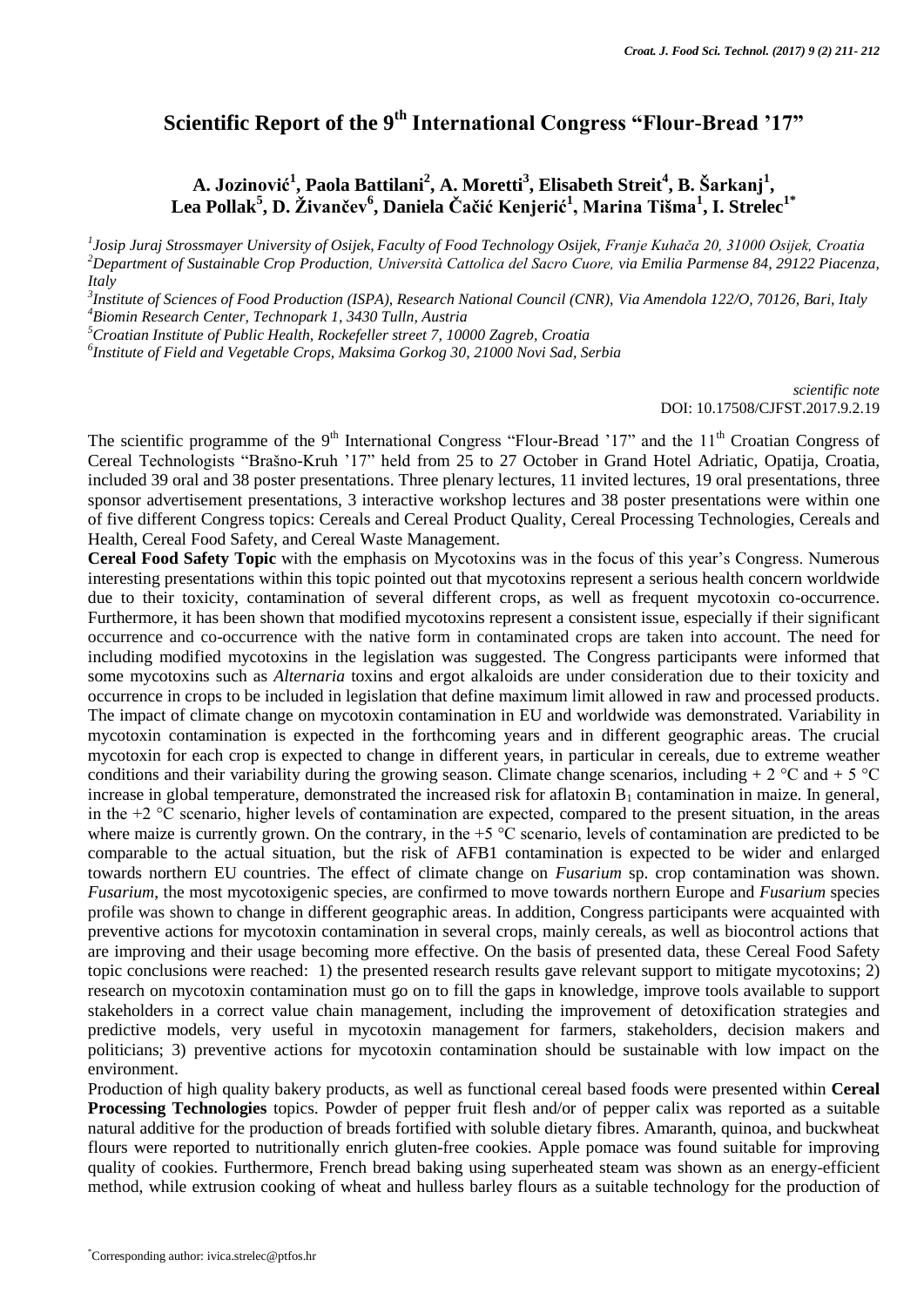## **Scientific Report of the 9th International Congress "Flour-Bread '17"**

## **A. Jozinović<sup>1</sup> , Paola Battilani<sup>2</sup> , A. Moretti<sup>3</sup> , Elisabeth Streit<sup>4</sup> , B. Šarkanj<sup>1</sup> , Lea Pollak<sup>5</sup> , D. Živančev<sup>6</sup> , Daniela Čačić Kenjerić<sup>1</sup> , Marina Tišma<sup>1</sup> , I. Strelec1\***

*1 Josip Juraj Strossmayer University of Osijek, Faculty of Food Technology Osijek, Franje Kuhača 20, 31000 Osijek, Croatia <sup>2</sup>Department of Sustainable Crop Production, Università Cattolica del Sacro Cuore, via Emilia Parmense 84, 29122 Piacenza, Italy*

*3 Institute of Sciences of Food Production (ISPA), Research National Council (CNR), Via Amendola 122/O, 70126, Bari, Italy <sup>4</sup>Biomin Research Center, Technopark 1, 3430 Tulln, Austria*

*<sup>5</sup>Croatian Institute of Public Health, Rockefeller street 7, 10000 Zagreb, Croatia*

*6 Institute of Field and Vegetable Crops, Maksima Gorkog 30, 21000 Novi Sad, Serbia*

*scientific note* DOI: 10.17508/CJFST.2017.9.2.19

The scientific programme of the 9<sup>th</sup> International Congress "Flour-Bread '17" and the 11<sup>th</sup> Croatian Congress of Cereal Technologists "Brašno-Kruh '17" held from 25 to 27 October in Grand Hotel Adriatic, Opatija, Croatia, included 39 oral and 38 poster presentations. Three plenary lectures, 11 invited lectures, 19 oral presentations, three sponsor advertisement presentations, 3 interactive workshop lectures and 38 poster presentations were within one of five different Congress topics: Cereals and Cereal Product Quality, Cereal Processing Technologies, Cereals and Health, Cereal Food Safety, and Cereal Waste Management.

**Cereal Food Safety Topic** with the emphasis on Mycotoxins was in the focus of this year's Congress. Numerous interesting presentations within this topic pointed out that mycotoxins represent a serious health concern worldwide due to their toxicity, contamination of several different crops, as well as frequent mycotoxin co-occurrence. Furthermore, it has been shown that modified mycotoxins represent a consistent issue, especially if their significant occurrence and co-occurrence with the native form in contaminated crops are taken into account. The need for including modified mycotoxins in the legislation was suggested. The Congress participants were informed that some mycotoxins such as *Alternaria* toxins and ergot alkaloids are under consideration due to their toxicity and occurrence in crops to be included in legislation that define maximum limit allowed in raw and processed products. The impact of climate change on mycotoxin contamination in EU and worldwide was demonstrated. Variability in mycotoxin contamination is expected in the forthcoming years and in different geographic areas. The crucial mycotoxin for each crop is expected to change in different years, in particular in cereals, due to extreme weather conditions and their variability during the growing season. Climate change scenarios, including + 2  $^{\circ}$ C and + 5  $^{\circ}$ C increase in global temperature, demonstrated the increased risk for aflatoxin  $B_1$  contamination in maize. In general, in the  $+2$  °C scenario, higher levels of contamination are expected, compared to the present situation, in the areas where maize is currently grown. On the contrary, in the  $+5$  °C scenario, levels of contamination are predicted to be comparable to the actual situation, but the risk of AFB1 contamination is expected to be wider and enlarged towards northern EU countries. The effect of climate change on *Fusarium* sp. crop contamination was shown. *Fusarium*, the most mycotoxigenic species, are confirmed to move towards northern Europe and *Fusarium* species profile was shown to change in different geographic areas. In addition, Congress participants were acquainted with preventive actions for mycotoxin contamination in several crops, mainly cereals, as well as biocontrol actions that are improving and their usage becoming more effective. On the basis of presented data, these Cereal Food Safety topic conclusions were reached: 1) the presented research results gave relevant support to mitigate mycotoxins; 2) research on mycotoxin contamination must go on to fill the gaps in knowledge, improve tools available to support stakeholders in a correct value chain management, including the improvement of detoxification strategies and predictive models, very useful in mycotoxin management for farmers, stakeholders, decision makers and politicians; 3) preventive actions for mycotoxin contamination should be sustainable with low impact on the environment.

Production of high quality bakery products, as well as functional cereal based foods were presented within **Cereal Processing Technologies** topics. Powder of pepper fruit flesh and/or of pepper calix was reported as a suitable natural additive for the production of breads fortified with soluble dietary fibres. Amaranth, quinoa, and buckwheat flours were reported to nutritionally enrich gluten-free cookies. Apple pomace was found suitable for improving quality of cookies. Furthermore, French bread baking using superheated steam was shown as an energy-efficient method, while extrusion cooking of wheat and hulless barley flours as a suitable technology for the production of